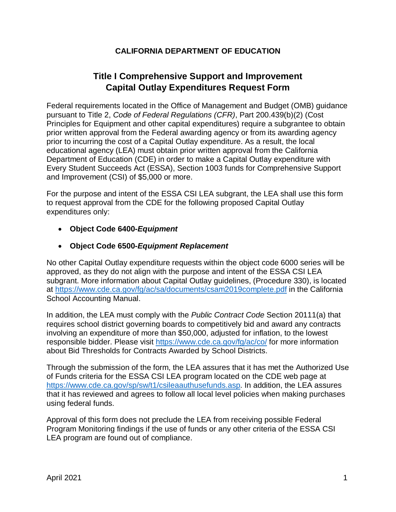## **CALIFORNIA DEPARTMENT OF EDUCATION**

## **Title I Comprehensive Support and Improvement Capital Outlay Expenditures Request Form**

Federal requirements located in the Office of Management and Budget (OMB) guidance pursuant to Title 2, *Code of Federal Regulations (CFR)*, Part 200.439(b)(2) (Cost Principles for Equipment and other capital expenditures) require a subgrantee to obtain prior written approval from the Federal awarding agency or from its awarding agency prior to incurring the cost of a Capital Outlay expenditure. As a result, the local educational agency (LEA) must obtain prior written approval from the California Department of Education (CDE) in order to make a Capital Outlay expenditure with Every Student Succeeds Act (ESSA), Section 1003 funds for Comprehensive Support and Improvement (CSI) of \$5,000 or more.

For the purpose and intent of the ESSA CSI LEA subgrant, the LEA shall use this form to request approval from the CDE for the following proposed Capital Outlay expenditures only:

• **Object Code 6400-***Equipment*

## • **Object Code 6500-***Equipment Replacement*

No other Capital Outlay expenditure requests within the object code 6000 series will be approved, as they do not align with the purpose and intent of the ESSA CSI LEA subgrant. More information about Capital Outlay guidelines, (Procedure 330), is located at<https://www.cde.ca.gov/fg/ac/sa/documents/csam2019complete.pdf> in the California School Accounting Manual.

In addition, the LEA must comply with the *Public Contract Code* Section 20111(a) that requires school district governing boards to competitively bid and award any contracts involving an expenditure of more than \$50,000, adjusted for inflation, to the lowest responsible bidder. Please visit<https://www.cde.ca.gov/fg/ac/co/> for more information about Bid Thresholds for Contracts Awarded by School Districts.

Through the submission of the form, the LEA assures that it has met the Authorized Use of Funds criteria for the ESSA CSI LEA program located on the CDE web page at [https://www.cde.ca.gov/sp/sw/t1/csileaauthusefunds.asp.](https://www.cde.ca.gov/sp/sw/t1/csileaauthusefunds.asp) In addition, the LEA assures that it has reviewed and agrees to follow all local level policies when making purchases using federal funds.

Approval of this form does not preclude the LEA from receiving possible Federal Program Monitoring findings if the use of funds or any other criteria of the ESSA CSI LEA program are found out of compliance.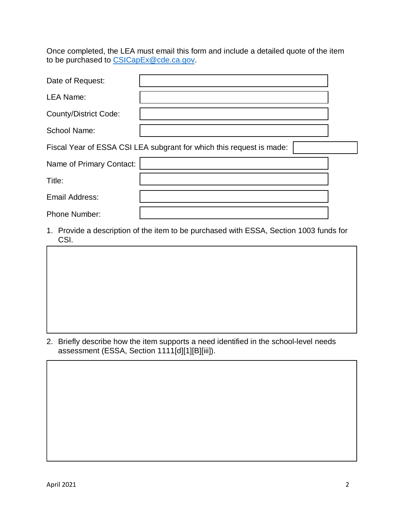Once completed, the LEA must email this form and include a detailed quote of the item to be purchased to [CSICapEx@cde.ca.gov.](mailto:CSICapEx@cde.ca.gov)

| Date of Request:                                                     |  |  |  |  |
|----------------------------------------------------------------------|--|--|--|--|
| <b>LEA Name:</b>                                                     |  |  |  |  |
| <b>County/District Code:</b>                                         |  |  |  |  |
| <b>School Name:</b>                                                  |  |  |  |  |
| Fiscal Year of ESSA CSI LEA subgrant for which this request is made: |  |  |  |  |
| Name of Primary Contact:                                             |  |  |  |  |
| Title:                                                               |  |  |  |  |
| Email Address:                                                       |  |  |  |  |
| Phone Number:                                                        |  |  |  |  |

- 1. Provide a description of the item to be purchased with ESSA, Section 1003 funds for CSI.
- 
- 2. Briefly describe how the item supports a need identified in the school-level needs assessment (ESSA, Section 1111[d][1][B][iii]).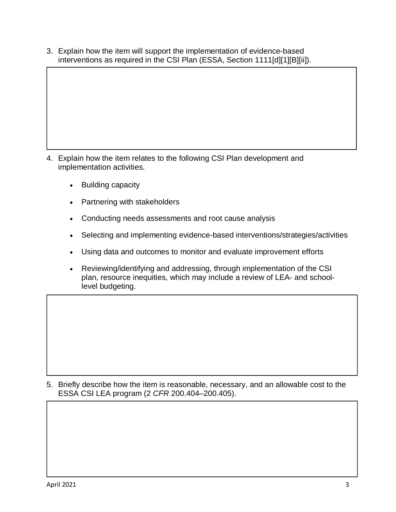3. Explain how the item will support the implementation of evidence-based interventions as required in the CSI Plan (ESSA, Section 1111[d][1][B][ii]).

- 4. Explain how the item relates to the following CSI Plan development and implementation activities.
	- Building capacity
	- Partnering with stakeholders
	- Conducting needs assessments and root cause analysis
	- Selecting and implementing evidence-based interventions/strategies/activities
	- Using data and outcomes to monitor and evaluate improvement efforts
	- Reviewing/identifying and addressing, through implementation of the CSI plan, resource inequities, which may include a review of LEA- and schoollevel budgeting.

5. Briefly describe how the item is reasonable, necessary, and an allowable cost to the ESSA CSI LEA program (2 *CFR* 200.404–200.405).